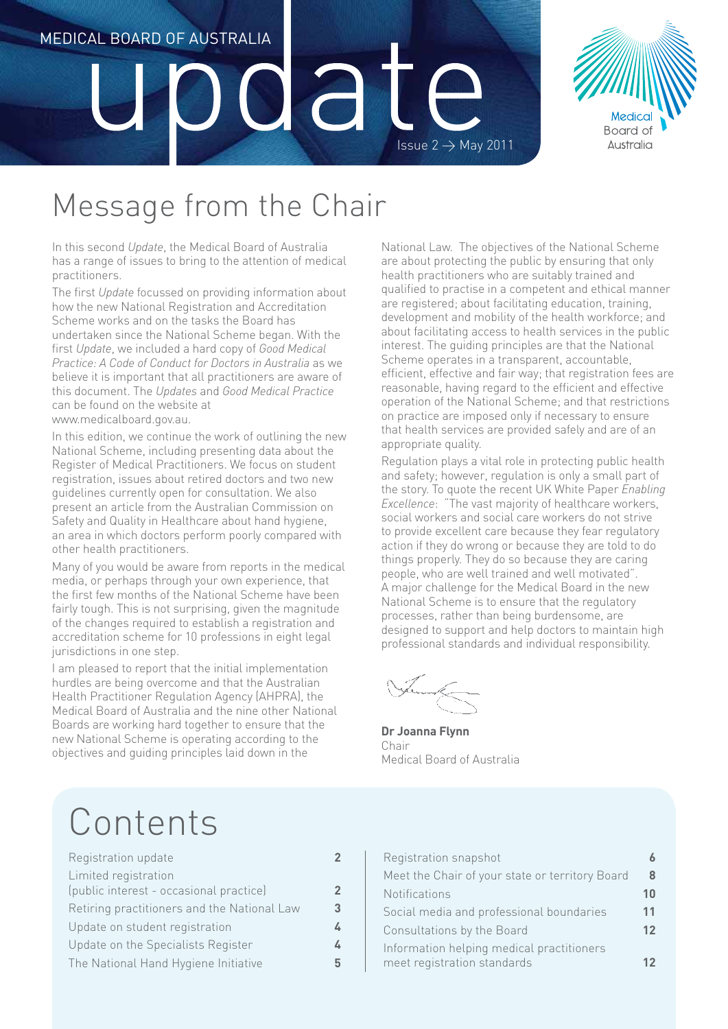# Medical Board of Australia dat Issue  $2 \rightarrow$  May 2011



## Message from the Chair

In this second *Update*, the Medical Board of Australia has a range of issues to bring to the attention of medical practitioners.

The first *Update* focussed on providing information about how the new National Registration and Accreditation Scheme works and on the tasks the Board has undertaken since the National Scheme began. With the first *Update*, we included a hard copy of *Good Medical Practice: A Code of Conduct for Doctors in Australia* as we believe it is important that all practitioners are aware of this document. The *Updates* and *Good Medical Practice* can be found on the website at www.medicalboard.gov.au.

In this edition, we continue the work of outlining the new National Scheme, including presenting data about the Register of Medical Practitioners. We focus on student registration, issues about retired doctors and two new guidelines currently open for consultation. We also present an article from the Australian Commission on Safety and Quality in Healthcare about hand hygiene, an area in which doctors perform poorly compared with other health practitioners.

Many of you would be aware from reports in the medical media, or perhaps through your own experience, that the first few months of the National Scheme have been fairly tough. This is not surprising, given the magnitude of the changes required to establish a registration and accreditation scheme for 10 professions in eight legal jurisdictions in one step.

I am pleased to report that the initial implementation hurdles are being overcome and that the Australian Health Practitioner Regulation Agency (AHPRA), the Medical Board of Australia and the nine other National Boards are working hard together to ensure that the new National Scheme is operating according to the objectives and guiding principles laid down in the

National Law. The objectives of the National Scheme are about protecting the public by ensuring that only health practitioners who are suitably trained and qualified to practise in a competent and ethical manner are registered; about facilitating education, training, development and mobility of the health workforce; and about facilitating access to health services in the public interest. The guiding principles are that the National Scheme operates in a transparent, accountable, efficient, effective and fair way; that registration fees are reasonable, having regard to the efficient and effective operation of the National Scheme; and that restrictions on practice are imposed only if necessary to ensure that health services are provided safely and are of an appropriate quality.

Regulation plays a vital role in protecting public health and safety; however, regulation is only a small part of the story. To quote the recent UK White Paper *Enabling Excellence*: "The vast majority of healthcare workers, social workers and social care workers do not strive to provide excellent care because they fear regulatory action if they do wrong or because they are told to do things properly. They do so because they are caring people, who are well trained and well motivated". A major challenge for the Medical Board in the new National Scheme is to ensure that the regulatory processes, rather than being burdensome, are designed to support and help doctors to maintain high professional standards and individual responsibility.

**Dr Joanna Flynn** Chair Medical Board of Australia

## Contents

| Registration update                                             | 2                       |
|-----------------------------------------------------------------|-------------------------|
| Limited registration<br>(public interest - occasional practice) | $\overline{\mathbf{c}}$ |
| Retiring practitioners and the National Law                     | 3                       |
| Update on student registration                                  | Ŀ                       |
| Update on the Specialists Register                              | Ŀ                       |
| The National Hand Hygiene Initiative                            | 5                       |
|                                                                 |                         |

| Registration snapshot                                                    |    |
|--------------------------------------------------------------------------|----|
| Meet the Chair of your state or territory Board                          | 8  |
| Notifications                                                            | 10 |
| Social media and professional boundaries                                 | 11 |
| Consultations by the Board                                               | 12 |
| Information helping medical practitioners<br>meet registration standards |    |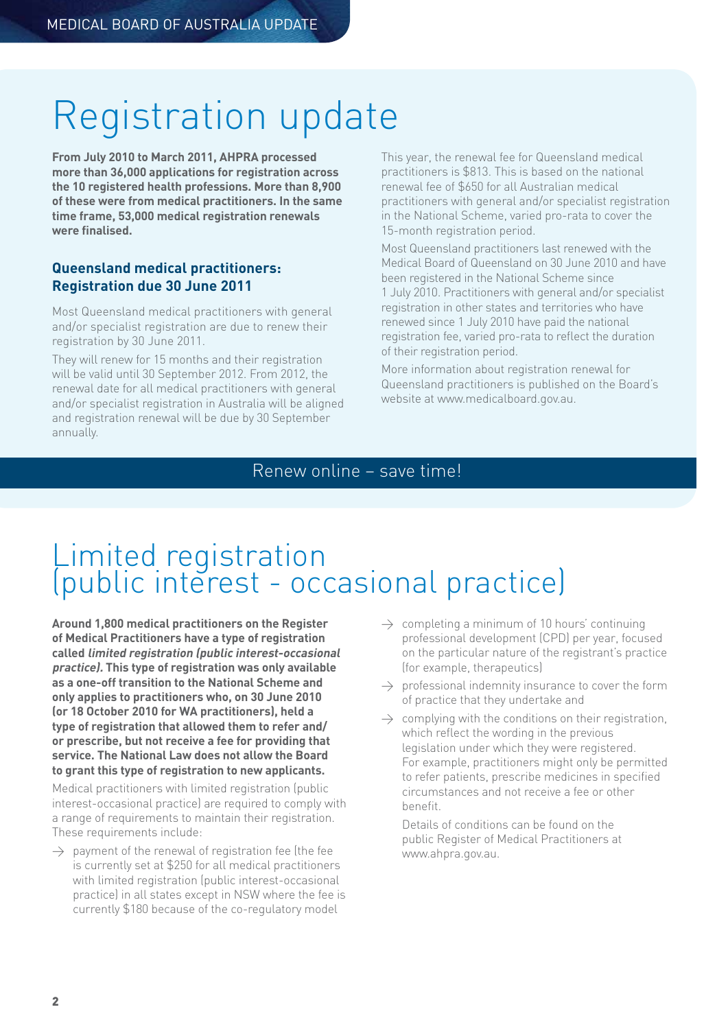## Registration update

**From July 2010 to March 2011, AHPRA processed more than 36,000 applications for registration across the 10 registered health professions. More than 8,900 of these were from medical practitioners. In the same time frame, 53,000 medical registration renewals were finalised.** 

### **Queensland medical practitioners: Registration due 30 June 2011**

Most Queensland medical practitioners with general and/or specialist registration are due to renew their registration by 30 June 2011.

They will renew for 15 months and their registration will be valid until 30 September 2012. From 2012, the renewal date for all medical practitioners with general and/or specialist registration in Australia will be aligned and registration renewal will be due by 30 September annually.

This year, the renewal fee for Queensland medical practitioners is \$813. This is based on the national renewal fee of \$650 for all Australian medical practitioners with general and/or specialist registration in the National Scheme, varied pro-rata to cover the 15-month registration period.

Most Queensland practitioners last renewed with the Medical Board of Queensland on 30 June 2010 and have been registered in the National Scheme since 1 July 2010. Practitioners with general and/or specialist registration in other states and territories who have renewed since 1 July 2010 have paid the national registration fee, varied pro-rata to reflect the duration of their registration period.

More information about registration renewal for Queensland practitioners is published on the Board's website at www.medicalboard.gov.au.

### Renew online – save time!

## Limited registration (public interest - occasional practice)

**Around 1,800 medical practitioners on the Register of Medical Practitioners have a type of registration called limited registration (public interest-occasional practice). This type of registration was only available as a one-off transition to the National Scheme and only applies to practitioners who, on 30 June 2010 (or 18 October 2010 for WA practitioners), held a type of registration that allowed them to refer and/ or prescribe, but not receive a fee for providing that service. The National Law does not allow the Board to grant this type of registration to new applicants.** 

Medical practitioners with limited registration (public interest-occasional practice) are required to comply with a range of requirements to maintain their registration. These requirements include:

 $\rightarrow$  payment of the renewal of registration fee (the fee is currently set at \$250 for all medical practitioners with limited registration (public interest-occasional practice) in all states except in NSW where the fee is currently \$180 because of the co-regulatory model

- $\rightarrow$  completing a minimum of 10 hours' continuing professional development (CPD) per year, focused on the particular nature of the registrant's practice (for example, therapeutics)
- $\rightarrow$  professional indemnity insurance to cover the form of practice that they undertake and
- $\rightarrow$  complying with the conditions on their registration, which reflect the wording in the previous legislation under which they were registered. For example, practitioners might only be permitted to refer patients, prescribe medicines in specified circumstances and not receive a fee or other benefit.

Details of conditions can be found on the public Register of Medical Practitioners at www.ahpra.gov.au.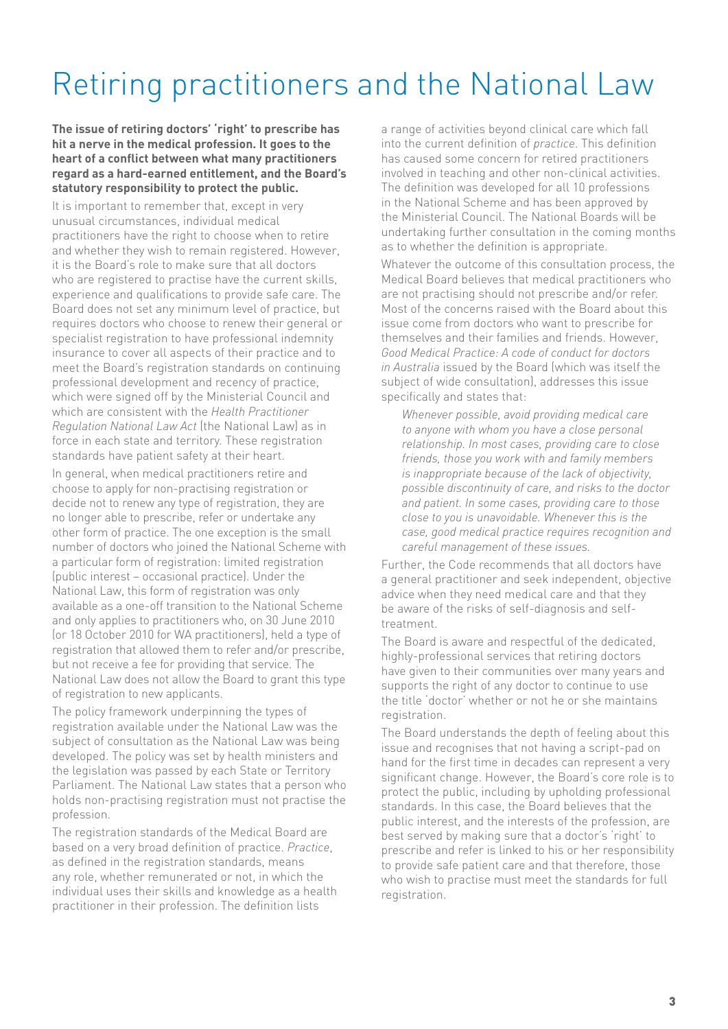## Retiring practitioners and the National Law

**The issue of retiring doctors' 'right' to prescribe has hit a nerve in the medical profession. It goes to the heart of a conflict between what many practitioners regard as a hard-earned entitlement, and the Board's statutory responsibility to protect the public.** 

It is important to remember that, except in very unusual circumstances, individual medical practitioners have the right to choose when to retire and whether they wish to remain registered. However, it is the Board's role to make sure that all doctors who are registered to practise have the current skills, experience and qualifications to provide safe care. The Board does not set any minimum level of practice, but requires doctors who choose to renew their general or specialist registration to have professional indemnity insurance to cover all aspects of their practice and to meet the Board's registration standards on continuing professional development and recency of practice, which were signed off by the Ministerial Council and which are consistent with the *Health Practitioner Regulation National Law Act* (the National Law) as in force in each state and territory. These registration standards have patient safety at their heart.

In general, when medical practitioners retire and choose to apply for non-practising registration or decide not to renew any type of registration, they are no longer able to prescribe, refer or undertake any other form of practice. The one exception is the small number of doctors who joined the National Scheme with a particular form of registration: limited registration (public interest – occasional practice). Under the National Law, this form of registration was only available as a one-off transition to the National Scheme and only applies to practitioners who, on 30 June 2010 (or 18 October 2010 for WA practitioners), held a type of registration that allowed them to refer and/or prescribe, but not receive a fee for providing that service. The National Law does not allow the Board to grant this type of registration to new applicants.

The policy framework underpinning the types of registration available under the National Law was the subject of consultation as the National Law was being developed. The policy was set by health ministers and the legislation was passed by each State or Territory Parliament. The National Law states that a person who holds non-practising registration must not practise the profession.

The registration standards of the Medical Board are based on a very broad definition of practice. *Practice*, as defined in the registration standards, means any role, whether remunerated or not, in which the individual uses their skills and knowledge as a health practitioner in their profession. The definition lists

a range of activities beyond clinical care which fall into the current definition of *practice*. This definition has caused some concern for retired practitioners involved in teaching and other non-clinical activities. The definition was developed for all 10 professions in the National Scheme and has been approved by the Ministerial Council. The National Boards will be undertaking further consultation in the coming months as to whether the definition is appropriate.

Whatever the outcome of this consultation process, the Medical Board believes that medical practitioners who are not practising should not prescribe and/or refer. Most of the concerns raised with the Board about this issue come from doctors who want to prescribe for themselves and their families and friends. However, *Good Medical Practice: A code of conduct for doctors in Australia* issued by the Board (which was itself the subject of wide consultation), addresses this issue specifically and states that:

*Whenever possible, avoid providing medical care to anyone with whom you have a close personal relationship. In most cases, providing care to close friends, those you work with and family members is inappropriate because of the lack of objectivity, possible discontinuity of care, and risks to the doctor and patient. In some cases, providing care to those close to you is unavoidable. Whenever this is the case, good medical practice requires recognition and careful management of these issues.*

Further, the Code recommends that all doctors have a general practitioner and seek independent, objective advice when they need medical care and that they be aware of the risks of self-diagnosis and selftreatment.

The Board is aware and respectful of the dedicated, highly-professional services that retiring doctors have given to their communities over many years and supports the right of any doctor to continue to use the title 'doctor' whether or not he or she maintains registration.

The Board understands the depth of feeling about this issue and recognises that not having a script-pad on hand for the first time in decades can represent a very significant change. However, the Board's core role is to protect the public, including by upholding professional standards. In this case, the Board believes that the public interest, and the interests of the profession, are best served by making sure that a doctor's 'right' to prescribe and refer is linked to his or her responsibility to provide safe patient care and that therefore, those who wish to practise must meet the standards for full registration.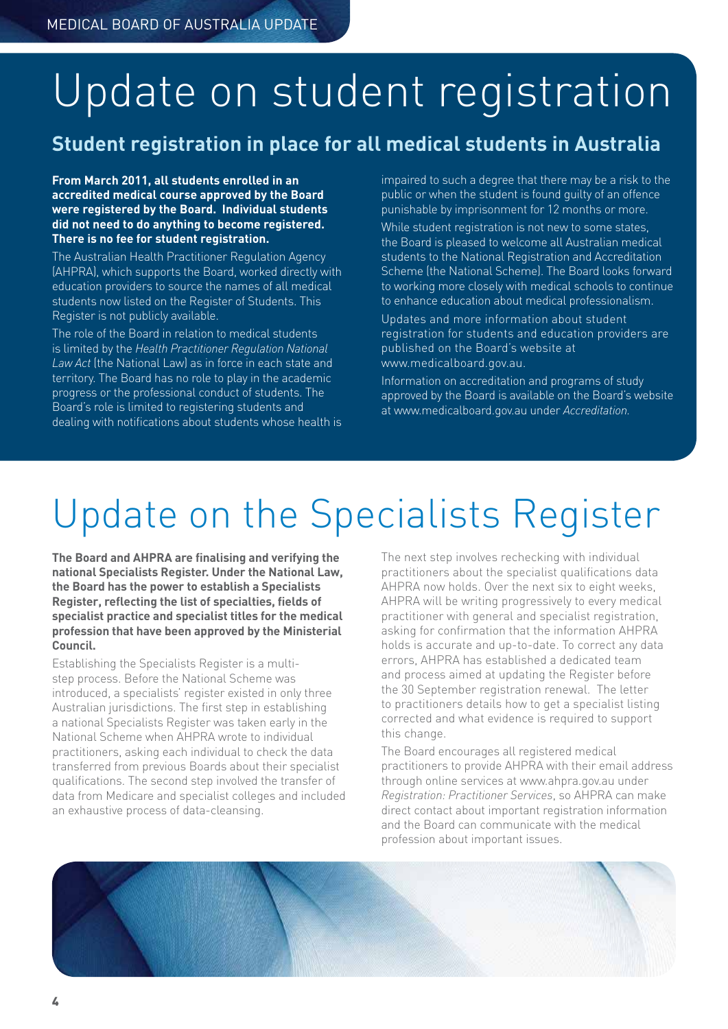# Update on student registration

### **Student registration in place for all medical students in Australia**

**From March 2011, all students enrolled in an accredited medical course approved by the Board were registered by the Board. Individual students did not need to do anything to become registered. There is no fee for student registration.** 

The Australian Health Practitioner Regulation Agency (AHPRA), which supports the Board, worked directly with education providers to source the names of all medical students now listed on the Register of Students. This Register is not publicly available.

The role of the Board in relation to medical students is limited by the *Health Practitioner Regulation National Law Act* (the National Law) as in force in each state and territory. The Board has no role to play in the academic progress or the professional conduct of students. The Board's role is limited to registering students and dealing with notifications about students whose health is impaired to such a degree that there may be a risk to the public or when the student is found guilty of an offence punishable by imprisonment for 12 months or more.

While student registration is not new to some states, the Board is pleased to welcome all Australian medical students to the National Registration and Accreditation Scheme (the National Scheme). The Board looks forward to working more closely with medical schools to continue to enhance education about medical professionalism.

Updates and more information about student registration for students and education providers are published on the Board's website at www.medicalboard.gov.au.

Information on accreditation and programs of study approved by the Board is available on the Board's website at www.medicalboard.gov.au under *Accreditation.*

# Update on the Specialists Register

**The Board and AHPRA are finalising and verifying the national Specialists Register. Under the National Law, the Board has the power to establish a Specialists Register, reflecting the list of specialties, fields of specialist practice and specialist titles for the medical profession that have been approved by the Ministerial Council.**

Establishing the Specialists Register is a multistep process. Before the National Scheme was introduced, a specialists' register existed in only three Australian jurisdictions. The first step in establishing a national Specialists Register was taken early in the National Scheme when AHPRA wrote to individual practitioners, asking each individual to check the data transferred from previous Boards about their specialist qualifications. The second step involved the transfer of data from Medicare and specialist colleges and included an exhaustive process of data-cleansing.

The next step involves rechecking with individual practitioners about the specialist qualifications data AHPRA now holds. Over the next six to eight weeks, AHPRA will be writing progressively to every medical practitioner with general and specialist registration, asking for confirmation that the information AHPRA holds is accurate and up-to-date. To correct any data errors, AHPRA has established a dedicated team and process aimed at updating the Register before the 30 September registration renewal. The letter to practitioners details how to get a specialist listing corrected and what evidence is required to support this change.

The Board encourages all registered medical practitioners to provide AHPRA with their email address through online services at www.ahpra.gov.au under *Registration: Practitioner Services*, so AHPRA can make direct contact about important registration information and the Board can communicate with the medical profession about important issues.

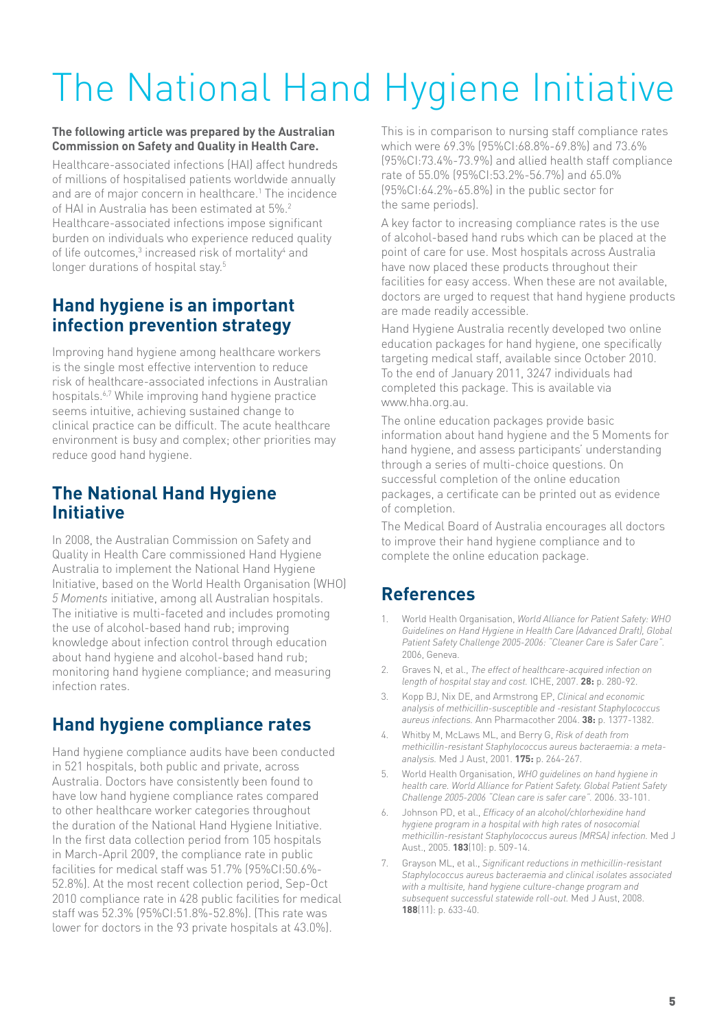# The National Hand Hygiene Initiative

### **The following article was prepared by the Australian Commission on Safety and Quality in Health Care.**

Healthcare-associated infections (HAI) affect hundreds of millions of hospitalised patients worldwide annually and are of major concern in healthcare.<sup>1</sup> The incidence of HAI in Australia has been estimated at 5%.2 Healthcare-associated infections impose significant burden on individuals who experience reduced quality of life outcomes,<sup>3</sup> increased risk of mortality<sup>4</sup> and longer durations of hospital stay.<sup>5</sup>

### **Hand hygiene is an important infection prevention strategy**

Improving hand hygiene among healthcare workers is the single most effective intervention to reduce risk of healthcare-associated infections in Australian hospitals.6,7 While improving hand hygiene practice seems intuitive, achieving sustained change to clinical practice can be difficult. The acute healthcare environment is busy and complex; other priorities may reduce good hand hygiene.

### **The National Hand Hygiene Initiative**

In 2008, the Australian Commission on Safety and Quality in Health Care commissioned Hand Hygiene Australia to implement the National Hand Hygiene Initiative, based on the World Health Organisation (WHO) *5 Moments* initiative, among all Australian hospitals. The initiative is multi-faceted and includes promoting the use of alcohol-based hand rub; improving knowledge about infection control through education about hand hygiene and alcohol-based hand rub; monitoring hand hygiene compliance; and measuring infection rates.

### **Hand hygiene compliance rates**

Hand hygiene compliance audits have been conducted in 521 hospitals, both public and private, across Australia. Doctors have consistently been found to have low hand hygiene compliance rates compared to other healthcare worker categories throughout the duration of the National Hand Hygiene Initiative. In the first data collection period from 105 hospitals in March-April 2009, the compliance rate in public facilities for medical staff was 51.7% (95%CI:50.6%- 52.8%). At the most recent collection period, Sep-Oct 2010 compliance rate in 428 public facilities for medical staff was 52.3% (95%CI:51.8%-52.8%). (This rate was lower for doctors in the 93 private hospitals at 43.0%).

This is in comparison to nursing staff compliance rates which were 69.3% (95%CI:68.8%-69.8%) and 73.6% (95%CI:73.4%-73.9%) and allied health staff compliance rate of 55.0% (95%CI:53.2%-56.7%) and 65.0% (95%CI:64.2%-65.8%) in the public sector for the same periods).

A key factor to increasing compliance rates is the use of alcohol-based hand rubs which can be placed at the point of care for use. Most hospitals across Australia have now placed these products throughout their facilities for easy access. When these are not available, doctors are urged to request that hand hygiene products are made readily accessible.

Hand Hygiene Australia recently developed two online education packages for hand hygiene, one specifically targeting medical staff, available since October 2010. To the end of January 2011, 3247 individuals had completed this package. This is available via www.hha.org.au.

The online education packages provide basic information about hand hygiene and the 5 Moments for hand hygiene, and assess participants' understanding through a series of multi-choice questions. On successful completion of the online education packages, a certificate can be printed out as evidence of completion.

The Medical Board of Australia encourages all doctors to improve their hand hygiene compliance and to complete the online education package.

### **References**

- 1. World Health Organisation, *World Alliance for Patient Safety: WHO Guidelines on Hand Hygiene in Health Care (Advanced Draft), Global Patient Safety Challenge 2005-2006: "Cleaner Care is Safer Care".* 2006, Geneva.
- 2. Graves N, et al., *The effect of healthcare-acquired infection on length of hospital stay and cost.* ICHE, 2007. **28:** p. 280-92.
- 3. Kopp BJ, Nix DE, and Armstrong EP, *Clinical and economic analysis of methicillin-susceptible and -resistant Staphylococcus aureus infections.* Ann Pharmacother 2004. **38:** p. 1377-1382.
- 4. Whitby M, McLaws ML, and Berry G, *Risk of death from methicillin-resistant Staphylococcus aureus bacteraemia: a metaanalysis.* Med J Aust, 2001. **175:** p. 264-267.
- 5. World Health Organisation, *WHO guidelines on hand hygiene in health care. World Alliance for Patient Safety. Global Patient Safety Challenge 2005-2006 "Clean care is safer care".* 2006. 33-101.
- 6. Johnson PD, et al., *Efficacy of an alcohol/chlorhexidine hand hygiene program in a hospital with high rates of nosocomial methicillin-resistant Staphylococcus aureus (MRSA) infection.* Med J Aust., 2005. **183**(10): p. 509-14.
- 7. Grayson ML, et al., *Significant reductions in methicillin-resistant Staphylococcus aureus bacteraemia and clinical isolates associated with a multisite, hand hygiene culture-change program and subsequent successful statewide roll-out.* Med J Aust, 2008. **188**(11): p. 633-40.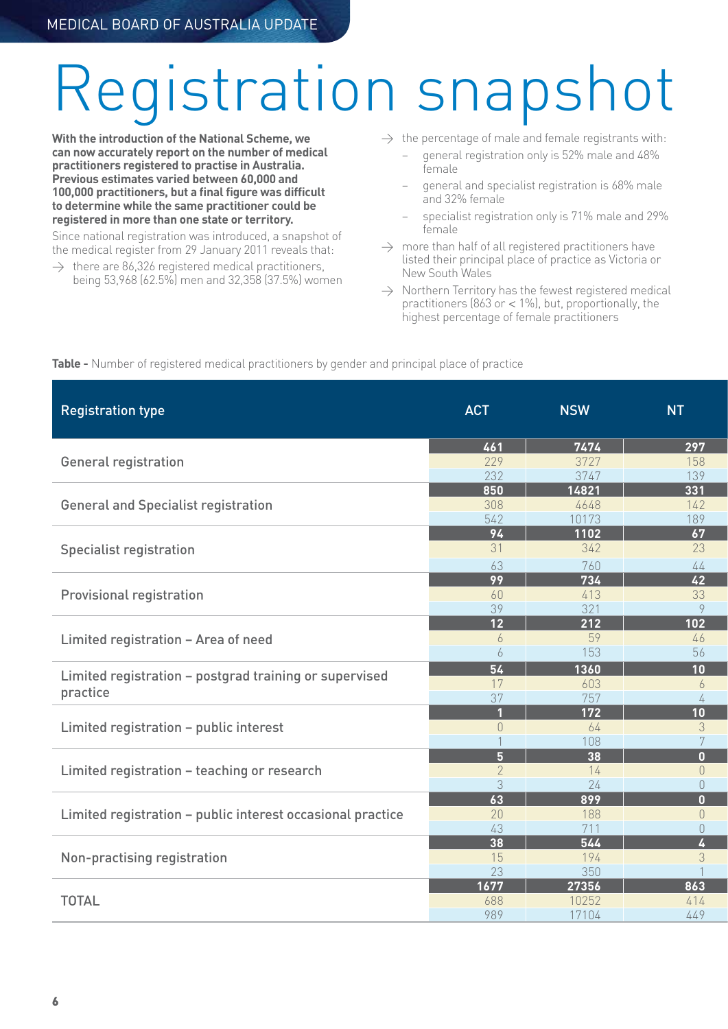# eqistration snapshot

**With the introduction of the National Scheme, we can now accurately report on the number of medical practitioners registered to practise in Australia. Previous estimates varied between 60,000 and 100,000 practitioners, but a final figure was difficult to determine while the same practitioner could be registered in more than one state or territory.** 

Since national registration was introduced, a snapshot of the medical register from 29 January 2011 reveals that:

 $\rightarrow$  there are 86,326 registered medical practitioners, being 53,968 (62.5%) men and 32,358 (37.5%) women  $\rightarrow$  the percentage of male and female registrants with:

- − general registration only is 52% male and 48% female
- − general and specialist registration is 68% male and 32% female
- − specialist registration only is 71% male and 29% female
- $\rightarrow$  more than half of all registered practitioners have listed their principal place of practice as Victoria or New South Wales
- $\rightarrow$  Northern Territory has the fewest registered medical practitioners (863 or  $<$  1%), but, proportionally, the highest percentage of female practitioners

|  |  | Table - Number of registered medical practitioners by gender and principal place of practice |
|--|--|----------------------------------------------------------------------------------------------|
|--|--|----------------------------------------------------------------------------------------------|

| <b>Registration type</b>                                           | <b>ACT</b>            | <b>NSW</b>              | <b>NT</b>                                       |
|--------------------------------------------------------------------|-----------------------|-------------------------|-------------------------------------------------|
|                                                                    | 461                   | 7474                    | 297                                             |
| General registration                                               | 229<br>232            | 3727<br>3747            | 158<br>139                                      |
|                                                                    | 850                   | 14821                   | $\overline{331}$                                |
| <b>General and Specialist registration</b>                         | 308<br>542            | 4648<br>10173           | 142<br>189                                      |
|                                                                    | 94                    | 1102                    | 67                                              |
| <b>Specialist registration</b>                                     | 31<br>63              | 342<br>760              | 23<br>44                                        |
|                                                                    | $\overline{99}$       | $\overline{734}$        | $\overline{42}$                                 |
| <b>Provisional registration</b>                                    | 60<br>39              | 413<br>321              | 33<br>$\overline{Q}$                            |
| Limited registration - Area of need                                | $\overline{12}$       | $\overline{212}$        | 102                                             |
|                                                                    |                       | 59<br>153               | 46<br>56                                        |
| Limited registration - postgrad training or supervised<br>practice | 54                    | 1360                    | 10 <sup>°</sup>                                 |
|                                                                    | 17<br>37              | 603<br>757              | 6                                               |
|                                                                    |                       | $172$                   | 10 <sup>°</sup>                                 |
| Limited registration - public interest                             | $\bigcap$             | 64<br>108               | 3                                               |
| Limited registration - teaching or research                        | 5 <sup>1</sup>        | $\overline{38}$         | $\mathbf{0}$                                    |
|                                                                    |                       | 14<br>24                | $\overline{0}$<br>$\overline{0}$                |
| Limited registration - public interest occasional practice         | $\overline{63}$<br>20 | 899<br>188              | $\mathbf{0}$<br>$\begin{matrix} 0 \end{matrix}$ |
|                                                                    | 43                    | 711                     | $\overline{0}$                                  |
| Non-practising registration                                        | $\overline{38}$<br>15 | $\overline{544}$<br>194 | 4<br>3                                          |
|                                                                    | 23                    | 350                     |                                                 |
| <b>TOTAL</b>                                                       | 1677<br>688           | 27356<br>10252          | 863<br>414                                      |
|                                                                    | 989                   | 17104                   | 449                                             |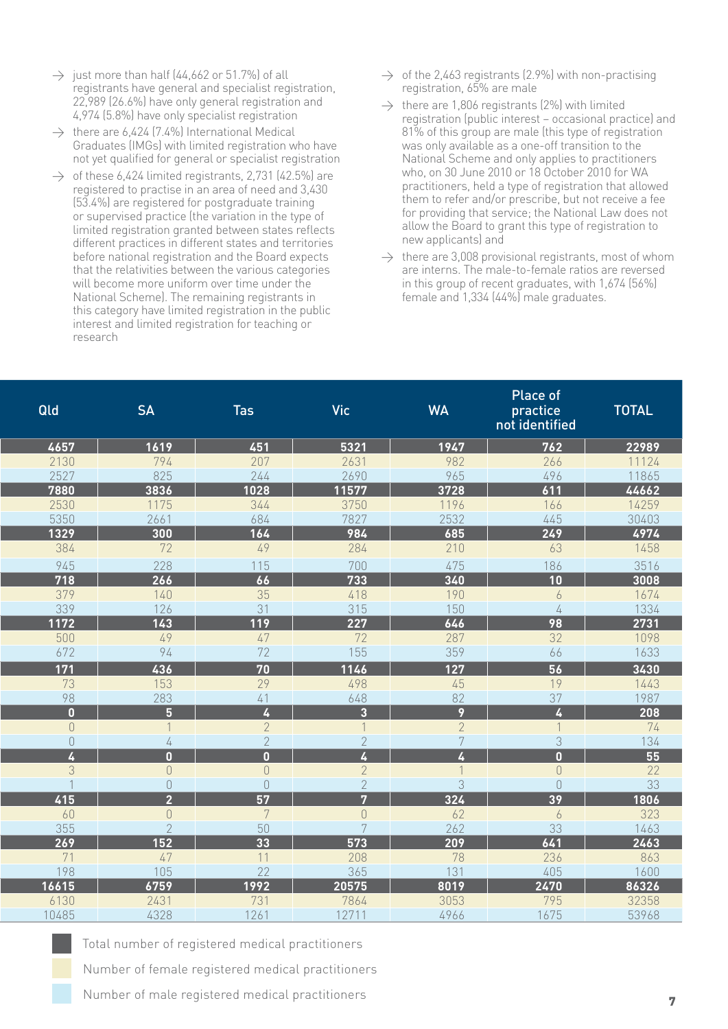- $\rightarrow$  just more than half (44,662 or 51.7%) of all registrants have general and specialist registration, 22,989 (26.6%) have only general registration and 4,974 (5.8%) have only specialist registration
- $\rightarrow$  there are 6,424 (7.4%) International Medical Graduates (IMGs) with limited registration who have not yet qualified for general or specialist registration
- $\rightarrow$  of these 6,424 limited registrants, 2,731 (42.5%) are registered to practise in an area of need and 3,430 (53.4%) are registered for postgraduate training or supervised practice (the variation in the type of limited registration granted between states reflects different practices in different states and territories before national registration and the Board expects that the relativities between the various categories will become more uniform over time under the National Scheme). The remaining registrants in this category have limited registration in the public interest and limited registration for teaching or research
- $\rightarrow$  of the 2,463 registrants (2.9%) with non-practising registration, 65% are male
- $\rightarrow$  there are 1,806 registrants (2%) with limited registration (public interest – occasional practice) and 81% of this group are male (this type of registration was only available as a one-off transition to the National Scheme and only applies to practitioners who, on 30 June 2010 or 18 October 2010 for WA practitioners, held a type of registration that allowed them to refer and/or prescribe, but not receive a fee for providing that service; the National Law does not allow the Board to grant this type of registration to new applicants) and
- $\rightarrow$  there are 3,008 provisional registrants, most of whom are interns. The male-to-female ratios are reversed in this group of recent graduates, with 1,674 (56%) female and 1,334 (44%) male graduates.

| <b>SA</b><br>Qld                                                                                                                                                                                                                         | <b>Tas</b>     | Vic                                                                                                                                                                                                                                                                                                                                                                                                                                                                                                                                                                 | <b>WA</b>                                                                                                                                                                                                                                                    | Place of<br>practice<br>not identified                                                                                                                                                                                                                               | <b>TOTAL</b>                                                                                                                                                                                        |
|------------------------------------------------------------------------------------------------------------------------------------------------------------------------------------------------------------------------------------------|----------------|---------------------------------------------------------------------------------------------------------------------------------------------------------------------------------------------------------------------------------------------------------------------------------------------------------------------------------------------------------------------------------------------------------------------------------------------------------------------------------------------------------------------------------------------------------------------|--------------------------------------------------------------------------------------------------------------------------------------------------------------------------------------------------------------------------------------------------------------|----------------------------------------------------------------------------------------------------------------------------------------------------------------------------------------------------------------------------------------------------------------------|-----------------------------------------------------------------------------------------------------------------------------------------------------------------------------------------------------|
| 4657                                                                                                                                                                                                                                     | 451            | 5321                                                                                                                                                                                                                                                                                                                                                                                                                                                                                                                                                                | 1947                                                                                                                                                                                                                                                         | $\overline{762}$                                                                                                                                                                                                                                                     | 22989                                                                                                                                                                                               |
|                                                                                                                                                                                                                                          |                |                                                                                                                                                                                                                                                                                                                                                                                                                                                                                                                                                                     |                                                                                                                                                                                                                                                              |                                                                                                                                                                                                                                                                      | 11124                                                                                                                                                                                               |
|                                                                                                                                                                                                                                          |                |                                                                                                                                                                                                                                                                                                                                                                                                                                                                                                                                                                     |                                                                                                                                                                                                                                                              |                                                                                                                                                                                                                                                                      | 11865                                                                                                                                                                                               |
|                                                                                                                                                                                                                                          |                |                                                                                                                                                                                                                                                                                                                                                                                                                                                                                                                                                                     |                                                                                                                                                                                                                                                              |                                                                                                                                                                                                                                                                      | 44662                                                                                                                                                                                               |
|                                                                                                                                                                                                                                          |                |                                                                                                                                                                                                                                                                                                                                                                                                                                                                                                                                                                     |                                                                                                                                                                                                                                                              |                                                                                                                                                                                                                                                                      | 14259                                                                                                                                                                                               |
|                                                                                                                                                                                                                                          |                |                                                                                                                                                                                                                                                                                                                                                                                                                                                                                                                                                                     |                                                                                                                                                                                                                                                              |                                                                                                                                                                                                                                                                      | 30403                                                                                                                                                                                               |
|                                                                                                                                                                                                                                          |                |                                                                                                                                                                                                                                                                                                                                                                                                                                                                                                                                                                     |                                                                                                                                                                                                                                                              |                                                                                                                                                                                                                                                                      | 4974                                                                                                                                                                                                |
|                                                                                                                                                                                                                                          |                |                                                                                                                                                                                                                                                                                                                                                                                                                                                                                                                                                                     |                                                                                                                                                                                                                                                              |                                                                                                                                                                                                                                                                      | 1458                                                                                                                                                                                                |
|                                                                                                                                                                                                                                          | 115            |                                                                                                                                                                                                                                                                                                                                                                                                                                                                                                                                                                     |                                                                                                                                                                                                                                                              |                                                                                                                                                                                                                                                                      | 3516                                                                                                                                                                                                |
|                                                                                                                                                                                                                                          |                |                                                                                                                                                                                                                                                                                                                                                                                                                                                                                                                                                                     |                                                                                                                                                                                                                                                              |                                                                                                                                                                                                                                                                      | $\overline{3008}$                                                                                                                                                                                   |
|                                                                                                                                                                                                                                          | 35             | 418                                                                                                                                                                                                                                                                                                                                                                                                                                                                                                                                                                 |                                                                                                                                                                                                                                                              | 6                                                                                                                                                                                                                                                                    | 1674                                                                                                                                                                                                |
|                                                                                                                                                                                                                                          |                |                                                                                                                                                                                                                                                                                                                                                                                                                                                                                                                                                                     |                                                                                                                                                                                                                                                              | 4                                                                                                                                                                                                                                                                    | 1334                                                                                                                                                                                                |
|                                                                                                                                                                                                                                          |                |                                                                                                                                                                                                                                                                                                                                                                                                                                                                                                                                                                     |                                                                                                                                                                                                                                                              |                                                                                                                                                                                                                                                                      | 2731                                                                                                                                                                                                |
|                                                                                                                                                                                                                                          | 47             |                                                                                                                                                                                                                                                                                                                                                                                                                                                                                                                                                                     |                                                                                                                                                                                                                                                              |                                                                                                                                                                                                                                                                      | 1098                                                                                                                                                                                                |
|                                                                                                                                                                                                                                          |                |                                                                                                                                                                                                                                                                                                                                                                                                                                                                                                                                                                     |                                                                                                                                                                                                                                                              |                                                                                                                                                                                                                                                                      | 1633                                                                                                                                                                                                |
|                                                                                                                                                                                                                                          |                |                                                                                                                                                                                                                                                                                                                                                                                                                                                                                                                                                                     |                                                                                                                                                                                                                                                              |                                                                                                                                                                                                                                                                      | $\overline{3430}$                                                                                                                                                                                   |
| 73                                                                                                                                                                                                                                       | 29             | 498                                                                                                                                                                                                                                                                                                                                                                                                                                                                                                                                                                 | 45                                                                                                                                                                                                                                                           | 19                                                                                                                                                                                                                                                                   | 1443                                                                                                                                                                                                |
|                                                                                                                                                                                                                                          | 41             |                                                                                                                                                                                                                                                                                                                                                                                                                                                                                                                                                                     | 82                                                                                                                                                                                                                                                           |                                                                                                                                                                                                                                                                      | 1987                                                                                                                                                                                                |
| $\mathbf{0}$                                                                                                                                                                                                                             | $\overline{L}$ |                                                                                                                                                                                                                                                                                                                                                                                                                                                                                                                                                                     |                                                                                                                                                                                                                                                              |                                                                                                                                                                                                                                                                      | $\overline{208}$                                                                                                                                                                                    |
| $\cap$                                                                                                                                                                                                                                   | $\mathcal{P}$  |                                                                                                                                                                                                                                                                                                                                                                                                                                                                                                                                                                     | $\overline{2}$                                                                                                                                                                                                                                               |                                                                                                                                                                                                                                                                      | 74                                                                                                                                                                                                  |
| $\bigcap$                                                                                                                                                                                                                                | $\bigcap$      | $\cap$                                                                                                                                                                                                                                                                                                                                                                                                                                                                                                                                                              | 7                                                                                                                                                                                                                                                            | 3                                                                                                                                                                                                                                                                    | 134                                                                                                                                                                                                 |
|                                                                                                                                                                                                                                          | $\blacksquare$ |                                                                                                                                                                                                                                                                                                                                                                                                                                                                                                                                                                     |                                                                                                                                                                                                                                                              | $\mathbf{u}$                                                                                                                                                                                                                                                         | $\overline{55}$                                                                                                                                                                                     |
| $\mathcal{L}$                                                                                                                                                                                                                            | $\bigcap$      | $\gamma$                                                                                                                                                                                                                                                                                                                                                                                                                                                                                                                                                            |                                                                                                                                                                                                                                                              | $\overline{0}$                                                                                                                                                                                                                                                       | 22                                                                                                                                                                                                  |
|                                                                                                                                                                                                                                          |                | $\cap$                                                                                                                                                                                                                                                                                                                                                                                                                                                                                                                                                              | 3                                                                                                                                                                                                                                                            | $\cap$                                                                                                                                                                                                                                                               | 33                                                                                                                                                                                                  |
|                                                                                                                                                                                                                                          |                |                                                                                                                                                                                                                                                                                                                                                                                                                                                                                                                                                                     |                                                                                                                                                                                                                                                              |                                                                                                                                                                                                                                                                      | 1806                                                                                                                                                                                                |
|                                                                                                                                                                                                                                          |                |                                                                                                                                                                                                                                                                                                                                                                                                                                                                                                                                                                     |                                                                                                                                                                                                                                                              | 6                                                                                                                                                                                                                                                                    | 323                                                                                                                                                                                                 |
|                                                                                                                                                                                                                                          |                |                                                                                                                                                                                                                                                                                                                                                                                                                                                                                                                                                                     |                                                                                                                                                                                                                                                              |                                                                                                                                                                                                                                                                      | 1463                                                                                                                                                                                                |
|                                                                                                                                                                                                                                          |                |                                                                                                                                                                                                                                                                                                                                                                                                                                                                                                                                                                     |                                                                                                                                                                                                                                                              |                                                                                                                                                                                                                                                                      | $\overline{2463}$                                                                                                                                                                                   |
|                                                                                                                                                                                                                                          |                |                                                                                                                                                                                                                                                                                                                                                                                                                                                                                                                                                                     |                                                                                                                                                                                                                                                              |                                                                                                                                                                                                                                                                      | 863                                                                                                                                                                                                 |
|                                                                                                                                                                                                                                          |                |                                                                                                                                                                                                                                                                                                                                                                                                                                                                                                                                                                     |                                                                                                                                                                                                                                                              |                                                                                                                                                                                                                                                                      | 1600                                                                                                                                                                                                |
|                                                                                                                                                                                                                                          |                |                                                                                                                                                                                                                                                                                                                                                                                                                                                                                                                                                                     |                                                                                                                                                                                                                                                              |                                                                                                                                                                                                                                                                      | 86326                                                                                                                                                                                               |
|                                                                                                                                                                                                                                          |                |                                                                                                                                                                                                                                                                                                                                                                                                                                                                                                                                                                     |                                                                                                                                                                                                                                                              |                                                                                                                                                                                                                                                                      | 32358                                                                                                                                                                                               |
|                                                                                                                                                                                                                                          |                |                                                                                                                                                                                                                                                                                                                                                                                                                                                                                                                                                                     |                                                                                                                                                                                                                                                              |                                                                                                                                                                                                                                                                      | 53968                                                                                                                                                                                               |
| 2130<br>2527<br>7880<br>2530<br>5350<br>1329<br>384<br>945<br>$\overline{718}$<br>379<br>339<br>$\overline{1172}$<br>500<br>672<br>$\overline{171}$<br>98<br>415<br>60<br>355<br>$\overline{269}$<br>71<br>198<br>16615<br>6130<br>10485 |                | 1619<br>794<br>207<br>825<br>244<br>3836<br>1028<br>1175<br>344<br>2661<br>684<br>300<br>$\overline{164}$<br>72<br>49<br>228<br>$\overline{266}$<br>$\overline{66}$<br>140<br>126<br>31<br>$\overline{143}$<br>$\overline{119}$<br>49<br>72<br>94<br>436<br>$\overline{70}$<br>153<br>283<br>5 <sup>1</sup><br>4<br>$\Omega$<br>$\overline{0}$<br>$\overline{0}$<br>$\bigcirc$<br>$\overline{57}$<br>2 <sup>1</sup><br>7<br>$\overline{0}$<br>50<br>$\mathcal{P}$<br>$\overline{152}$<br>33<br>47<br>11<br>105<br>22<br>6759<br>1992<br>2431<br>731<br>4328<br>1261 | 2631<br>2690<br>11577<br>3750<br>7827<br>984<br>284<br>700<br>$\overline{733}$<br>315<br>$\overline{227}$<br>72<br>155<br>1146<br>648<br>3 <sup>1</sup><br>$\overline{7}$<br>$\overline{0}$<br>7<br>$\overline{573}$<br>208<br>365<br>20575<br>7864<br>12711 | 982<br>965<br>3728<br>1196<br>2532<br>685<br>210<br>475<br>$\overline{\mathbf{340}}$<br>190<br>150<br>$\overline{646}$<br>287<br>359<br>$\overline{127}$<br>$\overline{9}$<br>$\overline{324}$<br>62<br>262<br>$\overline{209}$<br>78<br>131<br>8019<br>3053<br>4966 | 266<br>496<br>611<br>166<br>445<br>$\overline{249}$<br>63<br>186<br>$\overline{10}$<br>98<br>32<br>66<br>$\overline{56}$<br>37<br>$\overline{39}$<br>33<br>641<br>236<br>405<br>2470<br>795<br>1675 |

Total number of registered medical practitioners Number of female registered medical practitioners

Number of male registered medical practitioners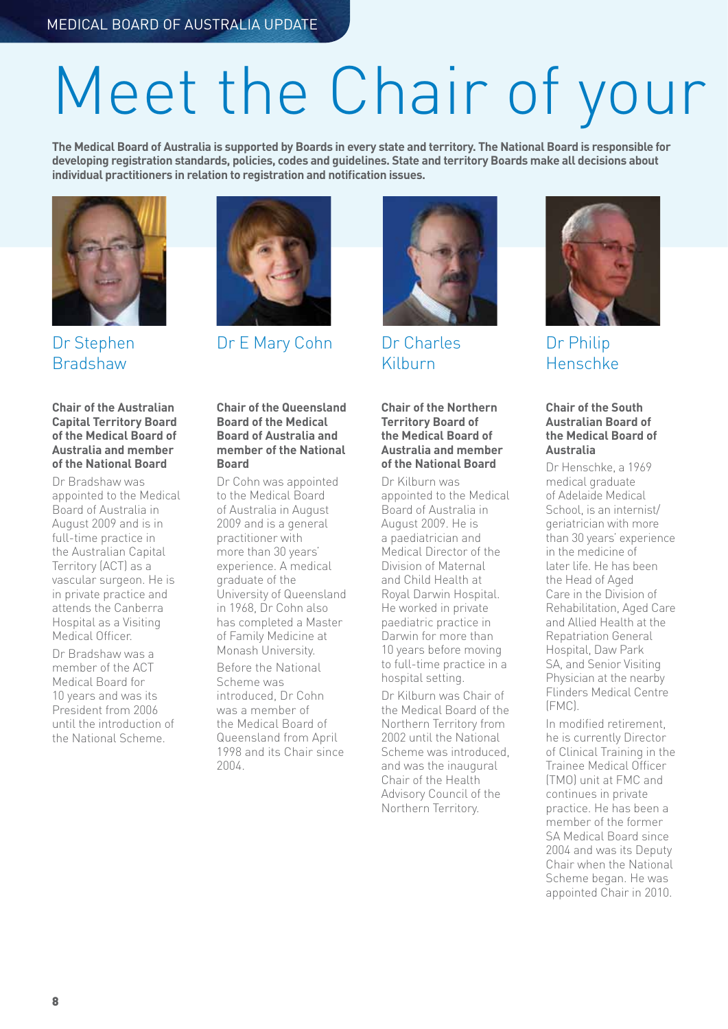# Meet the Chair of your

**The Medical Board of Australia is supported by Boards in every state and territory. The National Board is responsible for developing registration standards, policies, codes and guidelines. State and territory Boards make all decisions about individual practitioners in relation to registration and notification issues.**



### Dr Stephen **Bradshaw**



Dr E Mary Cohn Dr Charles



Kilburn

#### **Chair of the Northern Territory Board of the Medical Board of Australia and member of the National Board**

Dr Kilburn was appointed to the Medical Board of Australia in August 2009. He is a paediatrician and Medical Director of the Division of Maternal and Child Health at Royal Darwin Hospital. He worked in private paediatric practice in Darwin for more than 10 years before moving to full-time practice in a hospital setting.

Dr Kilburn was Chair of the Medical Board of the Northern Territory from 2002 until the National Scheme was introduced, and was the inaugural Chair of the Health Advisory Council of the Northern Territory.



Dr Philip Henschke

### **Chair of the South Australian Board of the Medical Board of Australia**

Dr Henschke, a 1969 medical graduate of Adelaide Medical School, is an internist/ geriatrician with more than 30 years' experience in the medicine of later life. He has been the Head of Aged Care in the Division of Rehabilitation, Aged Care and Allied Health at the Repatriation General Hospital, Daw Park SA, and Senior Visiting Physician at the nearby Flinders Medical Centre (FMC).

In modified retirement, he is currently Director of Clinical Training in the Trainee Medical Officer (TMO) unit at FMC and continues in private practice. He has been a member of the former SA Medical Board since 2004 and was its Deputy Chair when the National Scheme began. He was appointed Chair in 2010.

### **Chair of the Australian Capital Territory Board of the Medical Board of Australia and member of the National Board**

Dr Bradshaw was appointed to the Medical Board of Australia in August 2009 and is in full-time practice in the Australian Capital Territory (ACT) as a vascular surgeon. He is in private practice and attends the Canberra Hospital as a Visiting Medical Officer.

Dr Bradshaw was a member of the ACT Medical Board for 10 years and was its President from 2006 until the introduction of the National Scheme.

#### **Chair of the Queensland Board of the Medical Board of Australia and member of the National Board**

Dr Cohn was appointed to the Medical Board of Australia in August 2009 and is a general practitioner with more than 30 years' experience. A medical graduate of the University of Queensland in 1968, Dr Cohn also has completed a Master of Family Medicine at Monash University. Before the National Scheme was introduced, Dr Cohn was a member of the Medical Board of Queensland from April 1998 and its Chair since 2004.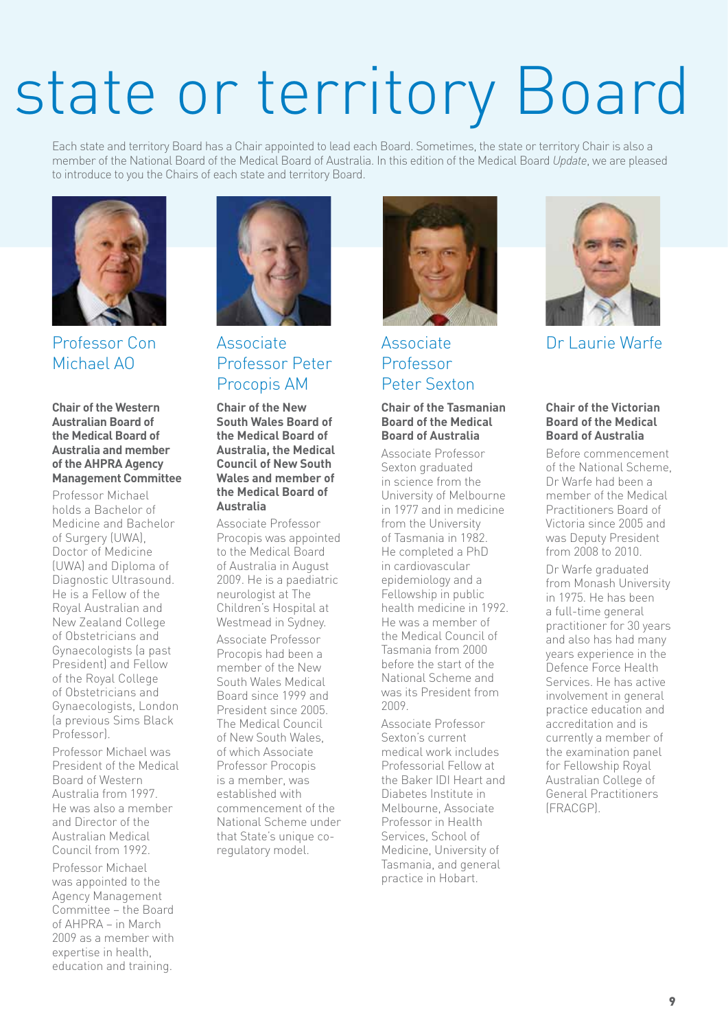# state or territory Board

Each state and territory Board has a Chair appointed to lead each Board. Sometimes, the state or territory Chair is also a member of the National Board of the Medical Board of Australia. In this edition of the Medical Board *Update*, we are pleased to introduce to you the Chairs of each state and territory Board.



Professor Con Michael AO

**Chair of the Western Australian Board of the Medical Board of Australia and member of the AHPRA Agency Management Committee**

Professor Michael holds a Bachelor of Medicine and Bachelor of Surgery (UWA), Doctor of Medicine (UWA) and Diploma of Diagnostic Ultrasound. He is a Fellow of the Royal Australian and New Zealand College of Obstetricians and Gynaecologists (a past President) and Fellow of the Royal College of Obstetricians and Gynaecologists, London (a previous Sims Black Professor).

Professor Michael was President of the Medical Board of Western Australia from 1997. He was also a member and Director of the Australian Medical Council from 1992.

Professor Michael was appointed to the Agency Management Committee – the Board of AHPRA – in March 2009 as a member with expertise in health, education and training.



### Associate Professor Peter Procopis AM

**Chair of the New South Wales Board of the Medical Board of Australia, the Medical Council of New South Wales and member of the Medical Board of Australia**

Associate Professor Procopis was appointed to the Medical Board of Australia in August 2009. He is a paediatric neurologist at The Children's Hospital at Westmead in Sydney. Associate Professor Procopis had been a member of the New South Wales Medical Board since 1999 and President since 2005. The Medical Council of New South Wales, of which Associate Professor Procopis is a member, was established with commencement of the National Scheme under that State's unique coregulatory model.



### Associate Professor Peter Sexton

#### **Chair of the Tasmanian Board of the Medical Board of Australia**

Associate Professor Sexton graduated in science from the University of Melbourne in 1977 and in medicine from the University of Tasmania in 1982. He completed a PhD in cardiovascular epidemiology and a Fellowship in public health medicine in 1992. He was a member of the Medical Council of Tasmania from 2000 before the start of the National Scheme and was its President from 2009.

Associate Professor Sexton's current medical work includes Professorial Fellow at the Baker IDI Heart and Diabetes Institute in Melbourne, Associate Professor in Health Services, School of Medicine, University of Tasmania, and general practice in Hobart.



Dr Laurie Warfe

### **Chair of the Victorian Board of the Medical Board of Australia**

Before commencement of the National Scheme, Dr Warfe had been a member of the Medical Practitioners Board of Victoria since 2005 and was Deputy President from 2008 to 2010.

Dr Warfe graduated from Monash University in 1975. He has been a full-time general practitioner for 30 years and also has had many years experience in the Defence Force Health Services. He has active involvement in general practice education and accreditation and is currently a member of the examination panel for Fellowship Royal Australian College of General Practitioners (FRACGP).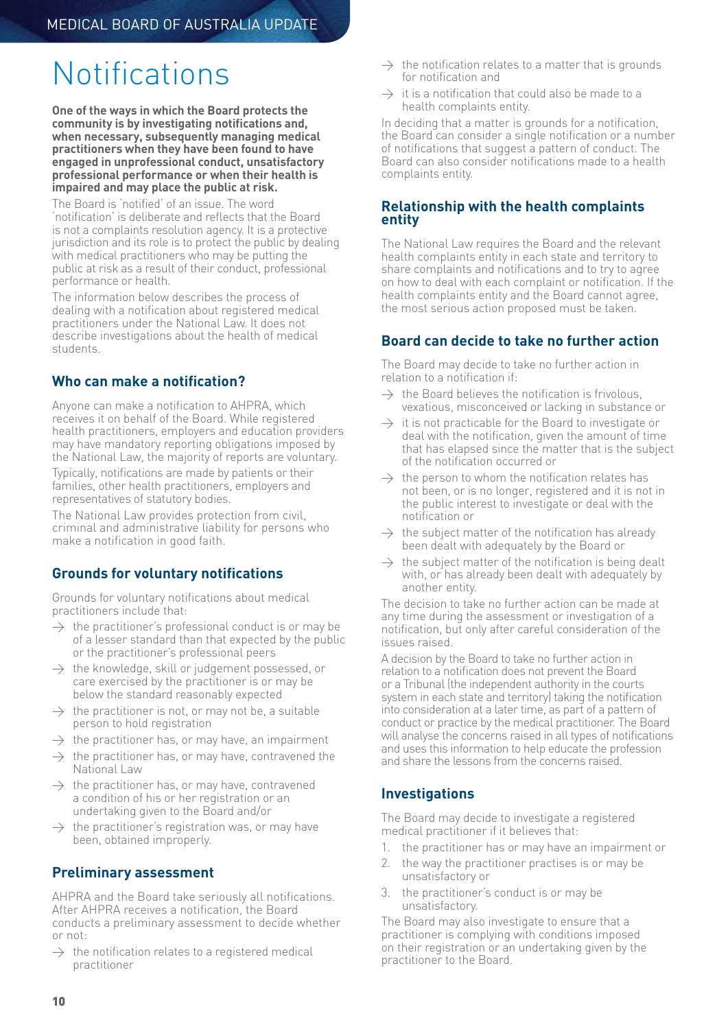## Notifications

**One of the ways in which the Board protects the community is by investigating notifications and, when necessary, subsequently managing medical practitioners when they have been found to have engaged in unprofessional conduct, unsatisfactory professional performance or when their health is impaired and may place the public at risk.**

The Board is 'notified' of an issue. The word 'notification' is deliberate and reflects that the Board is not a complaints resolution agency. It is a protective jurisdiction and its role is to protect the public by dealing with medical practitioners who may be putting the public at risk as a result of their conduct, professional performance or health.

The information below describes the process of dealing with a notification about registered medical practitioners under the National Law. It does not describe investigations about the health of medical students.

### **Who can make a notification?**

Anyone can make a notification to AHPRA, which receives it on behalf of the Board. While registered health practitioners, employers and education providers may have mandatory reporting obligations imposed by the National Law, the majority of reports are voluntary.

Typically, notifications are made by patients or their families, other health practitioners, employers and representatives of statutory bodies.

The National Law provides protection from civil, criminal and administrative liability for persons who make a notification in good faith.

### **Grounds for voluntary notifications**

Grounds for voluntary notifications about medical practitioners include that:

- $\rightarrow$  the practitioner's professional conduct is or may be of a lesser standard than that expected by the public or the practitioner's professional peers
- $\rightarrow$  the knowledge, skill or judgement possessed, or care exercised by the practitioner is or may be below the standard reasonably expected
- $\rightarrow$  the practitioner is not, or may not be, a suitable person to hold registration
- $\rightarrow$  the practitioner has, or may have, an impairment
- $\rightarrow$  the practitioner has, or may have, contravened the National Law
- $\rightarrow$  the practitioner has, or may have, contravened a condition of his or her registration or an undertaking given to the Board and/or
- $\rightarrow$  the practitioner's registration was, or may have been, obtained improperly.

### **Preliminary assessment**

AHPRA and the Board take seriously all notifications. After AHPRA receives a notification, the Board conducts a preliminary assessment to decide whether or not:

 $\rightarrow$  the notification relates to a registered medical practitioner

- $\rightarrow$  the notification relates to a matter that is grounds for notification and
- $\rightarrow$  it is a notification that could also be made to a health complaints entity.

In deciding that a matter is grounds for a notification, the Board can consider a single notification or a number of notifications that suggest a pattern of conduct. The Board can also consider notifications made to a health complaints entity.

### **Relationship with the health complaints entity**

The National Law requires the Board and the relevant health complaints entity in each state and territory to share complaints and notifications and to try to agree on how to deal with each complaint or notification. If the health complaints entity and the Board cannot agree, the most serious action proposed must be taken.

### **Board can decide to take no further action**

The Board may decide to take no further action in relation to a notification if:

- $\rightarrow$  the Board believes the notification is frivolous, vexatious, misconceived or lacking in substance or
- $\rightarrow$  it is not practicable for the Board to investigate or deal with the notification, given the amount of time that has elapsed since the matter that is the subject of the notification occurred or
- $\rightarrow$  the person to whom the notification relates has not been, or is no longer, registered and it is not in the public interest to investigate or deal with the notification or
- $\rightarrow$  the subject matter of the notification has already been dealt with adequately by the Board or
- $\rightarrow$  the subject matter of the notification is being dealt with, or has already been dealt with adequately by another entity.

The decision to take no further action can be made at any time during the assessment or investigation of a notification, but only after careful consideration of the issues raised.

A decision by the Board to take no further action in relation to a notification does not prevent the Board or a Tribunal (the independent authority in the courts system in each state and territory) taking the notification into consideration at a later time, as part of a pattern of conduct or practice by the medical practitioner. The Board will analyse the concerns raised in all types of notifications and uses this information to help educate the profession and share the lessons from the concerns raised.

### **Investigations**

The Board may decide to investigate a registered medical practitioner if it believes that:

- 1. the practitioner has or may have an impairment or
- 2. the way the practitioner practises is or may be unsatisfactory or
- 3. the practitioner's conduct is or may be unsatisfactory.

The Board may also investigate to ensure that a practitioner is complying with conditions imposed on their registration or an undertaking given by the practitioner to the Board.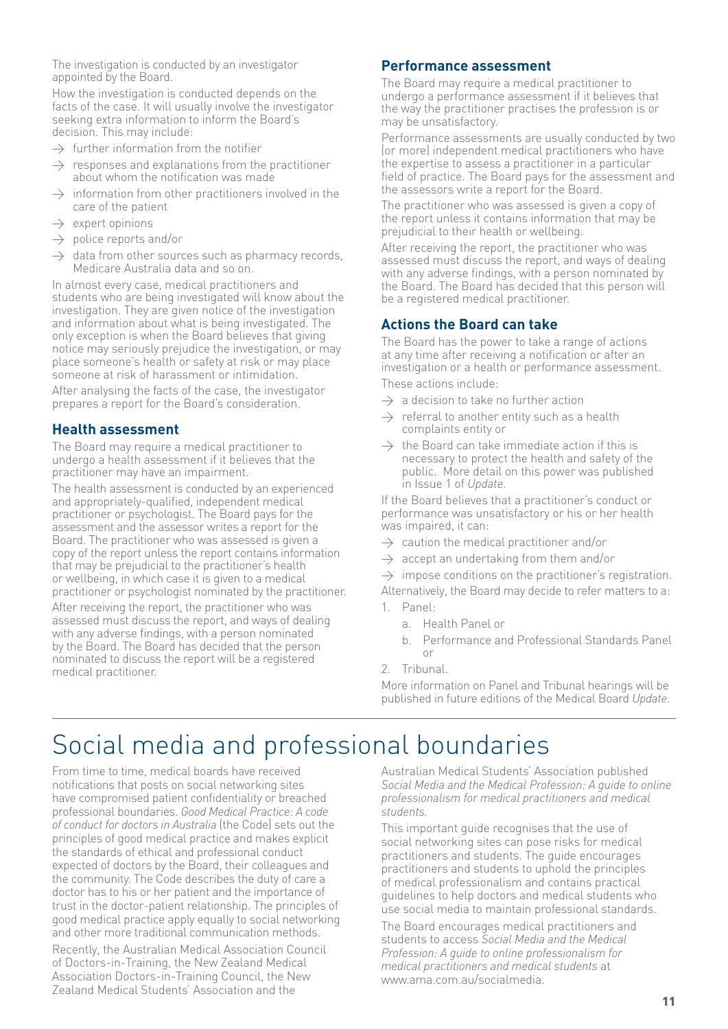The investigation is conducted by an investigator appointed by the Board.

How the investigation is conducted depends on the facts of the case. It will usually involve the investigator seeking extra information to inform the Board's decision. This may include:

- $\rightarrow$  further information from the notifier
- $\rightarrow$  responses and explanations from the practitioner about whom the notification was made
- $\rightarrow$  information from other practitioners involved in the care of the patient
- $\rightarrow$  expert opinions
- $\rightarrow$  police reports and/or
- $\rightarrow$  data from other sources such as pharmacy records, Medicare Australia data and so on.

In almost every case, medical practitioners and students who are being investigated will know about the investigation. They are given notice of the investigation and information about what is being investigated. The only exception is when the Board believes that giving notice may seriously prejudice the investigation, or may place someone's health or safety at risk or may place someone at risk of harassment or intimidation.

After analysing the facts of the case, the investigator prepares a report for the Board's consideration.

### **Health assessment**

The Board may require a medical practitioner to undergo a health assessment if it believes that the practitioner may have an impairment.

The health assessment is conducted by an experienced and appropriately-qualified, independent medical practitioner or psychologist. The Board pays for the assessment and the assessor writes a report for the Board. The practitioner who was assessed is given a copy of the report unless the report contains information that may be prejudicial to the practitioner's health or wellbeing, in which case it is given to a medical practitioner or psychologist nominated by the practitioner.

After receiving the report, the practitioner who was assessed must discuss the report, and ways of dealing with any adverse findings, with a person nominated by the Board. The Board has decided that the person nominated to discuss the report will be a registered medical practitioner.

### **Performance assessment**

The Board may require a medical practitioner to undergo a performance assessment if it believes that the way the practitioner practises the profession is or may be unsatisfactory.

Performance assessments are usually conducted by two (or more) independent medical practitioners who have the expertise to assess a practitioner in a particular field of practice. The Board pays for the assessment and the assessors write a report for the Board.

The practitioner who was assessed is given a copy of the report unless it contains information that may be prejudicial to their health or wellbeing.

After receiving the report, the practitioner who was assessed must discuss the report, and ways of dealing with any adverse findings, with a person nominated by the Board. The Board has decided that this person will be a registered medical practitioner.

### **Actions the Board can take**

The Board has the power to take a range of actions at any time after receiving a notification or after an investigation or a health or performance assessment. These actions include:

- $\rightarrow$  a decision to take no further action
- $\rightarrow$  referral to another entity such as a health complaints entity or
- $\rightarrow$  the Board can take immediate action if this is necessary to protect the health and safety of the public. More detail on this power was published in Issue 1 of *Update*.

If the Board believes that a practitioner's conduct or performance was unsatisfactory or his or her health was impaired, it can:

- $\rightarrow$  caution the medical practitioner and/or
- $\rightarrow$  accept an undertaking from them and/or

 $\rightarrow$  impose conditions on the practitioner's registration. Alternatively, the Board may decide to refer matters to a:

- 1. Panel:
	- a. Health Panel or
	- b. Performance and Professional Standards Panel or
- 2. Tribunal.

More information on Panel and Tribunal hearings will be published in future editions of the Medical Board *Update*.

## Social media and professional boundaries

From time to time, medical boards have received notifications that posts on social networking sites have compromised patient confidentiality or breached professional boundaries. *Good Medical Practice: A code of conduct for doctors in Australia* (the Code) sets out the principles of good medical practice and makes explicit the standards of ethical and professional conduct expected of doctors by the Board, their colleagues and the community. The Code describes the duty of care a doctor has to his or her patient and the importance of trust in the doctor-patient relationship. The principles of good medical practice apply equally to social networking and other more traditional communication methods.

Recently, the Australian Medical Association Council of Doctors-in-Training, the New Zealand Medical Association Doctors-in-Training Council, the New Zealand Medical Students' Association and the

Australian Medical Students' Association published *Social Media and the Medical Profession: A guide to online professionalism for medical practitioners and medical students.*

This important guide recognises that the use of social networking sites can pose risks for medical practitioners and students. The guide encourages practitioners and students to uphold the principles of medical professionalism and contains practical guidelines to help doctors and medical students who use social media to maintain professional standards.

The Board encourages medical practitioners and students to access *Social Media and the Medical Profession: A guide to online professionalism for medical practitioners and medical students* at www.ama.com.au/socialmedia.